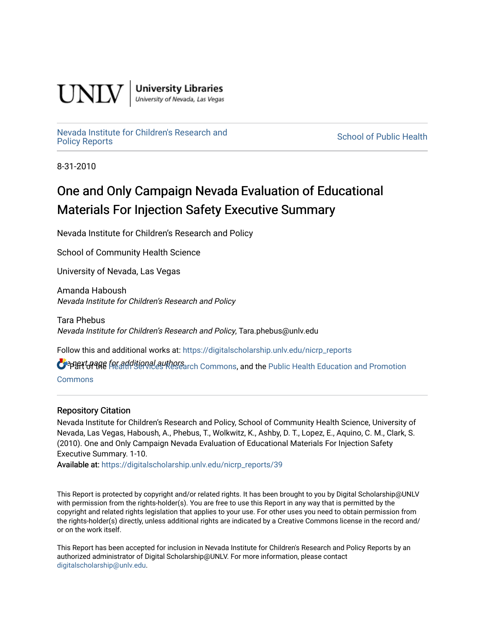

**University Libraries**<br>University of Nevada, Las Vegas

[Nevada Institute for Children's Research and](https://digitalscholarship.unlv.edu/nicrp_reports) nevada institute for Uniquen's Research and<br>[Policy Reports](https://digitalscholarship.unlv.edu/nicrp_reports) School of Public Health

8-31-2010

## One and Only Campaign Nevada Evaluation of Educational Materials For Injection Safety Executive Summary

Nevada Institute for Children's Research and Policy

School of Community Health Science

University of Nevada, Las Vegas

Amanda Haboush Nevada Institute for Children's Research and Policy

Tara Phebus Nevada Institute for Children's Research and Policy, Tara.phebus@unlv.edu

Follow this and additional works at: [https://digitalscholarship.unlv.edu/nicrp\\_reports](https://digitalscholarship.unlv.edu/nicrp_reports?utm_source=digitalscholarship.unlv.edu%2Fnicrp_reports%2F39&utm_medium=PDF&utm_campaign=PDFCoverPages)

**O** PPHIT of the Additional authors arch Commons, and the [Public Health Education and Promotion](http://network.bepress.com/hgg/discipline/743?utm_source=digitalscholarship.unlv.edu%2Fnicrp_reports%2F39&utm_medium=PDF&utm_campaign=PDFCoverPages)

**[Commons](http://network.bepress.com/hgg/discipline/743?utm_source=digitalscholarship.unlv.edu%2Fnicrp_reports%2F39&utm_medium=PDF&utm_campaign=PDFCoverPages)** 

#### Repository Citation

Nevada Institute for Children's Research and Policy, School of Community Health Science, University of Nevada, Las Vegas, Haboush, A., Phebus, T., Wolkwitz, K., Ashby, D. T., Lopez, E., Aquino, C. M., Clark, S. (2010). One and Only Campaign Nevada Evaluation of Educational Materials For Injection Safety Executive Summary. 1-10.

Available at: [https://digitalscholarship.unlv.edu/nicrp\\_reports/39](https://digitalscholarship.unlv.edu/nicrp_reports/39) 

This Report is protected by copyright and/or related rights. It has been brought to you by Digital Scholarship@UNLV with permission from the rights-holder(s). You are free to use this Report in any way that is permitted by the copyright and related rights legislation that applies to your use. For other uses you need to obtain permission from the rights-holder(s) directly, unless additional rights are indicated by a Creative Commons license in the record and/ or on the work itself.

This Report has been accepted for inclusion in Nevada Institute for Children's Research and Policy Reports by an authorized administrator of Digital Scholarship@UNLV. For more information, please contact [digitalscholarship@unlv.edu](mailto:digitalscholarship@unlv.edu).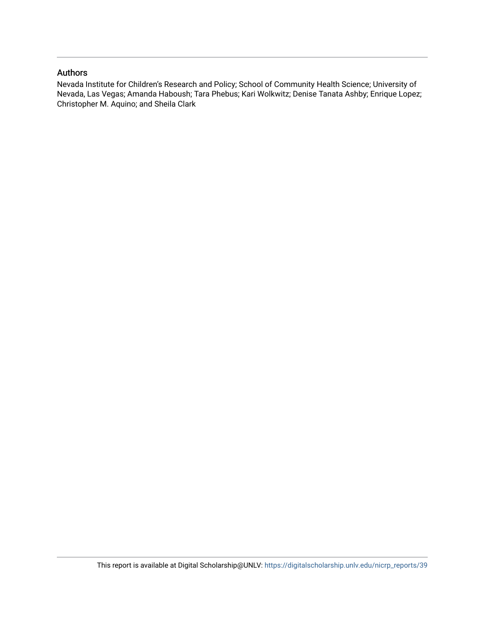#### Authors

Nevada Institute for Children's Research and Policy; School of Community Health Science; University of Nevada, Las Vegas; Amanda Haboush; Tara Phebus; Kari Wolkwitz; Denise Tanata Ashby; Enrique Lopez; Christopher M. Aquino; and Sheila Clark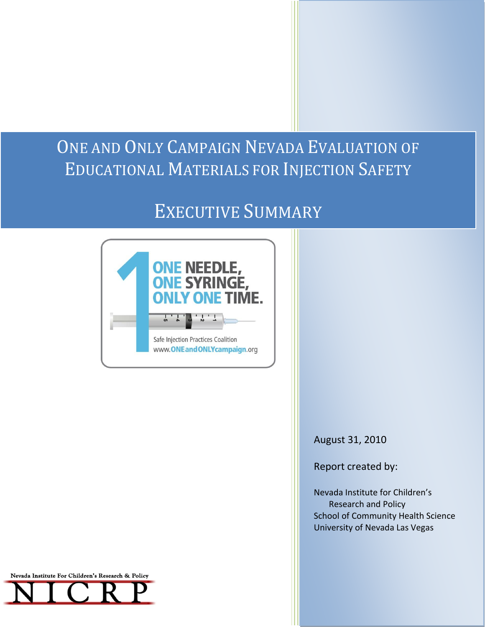# ONE AND ONLY CAMPAIGN NEVADA EVALUATION OF EDUCATIONAL MATERIALS FOR INJECTION SAFETY

# EXECUTIVE SUMMARY



August 31, 2010

Report created by:

Nevada Institute for Children's Research and Policy School of Community Health Science University of Nevada Las Vegas



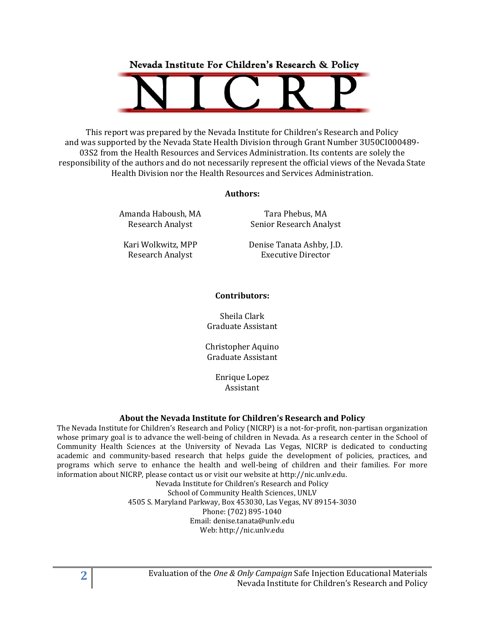Nevada Institute For Children's Research & Policy



This report was prepared by the Nevada Institute for Children's Research and Policy and was supported by the Nevada State Health Division through Grant Number 3U50CI000489- 03S2 from the Health Resources and Services Administration. Its contents are solely the responsibility of the authors and do not necessarily represent the official views of the Nevada State Health Division nor the Health Resources and Services Administration.

#### **Authors:**

Amanda Haboush, MA Research Analyst

Tara Phebus, MA Senior Research Analyst

Kari Wolkwitz, MPP Research Analyst

Denise Tanata Ashby, J.D. Executive Director

#### **Contributors:**

Sheila Clark Graduate Assistant

Christopher Aquino Graduate Assistant

> Enrique Lopez Assistant

#### **About the Nevada Institute for Children's Research and Policy**

The Nevada Institute for Children's Research and Policy (NICRP) is a not-for-profit, non-partisan organization whose primary goal is to advance the well-being of children in Nevada. As a research center in the School of Community Health Sciences at the University of Nevada Las Vegas, NICRP is dedicated to conducting academic and community-based research that helps guide the development of policies, practices, and programs which serve to enhance the health and well-being of children and their families. For more information about NICRP, please contact us or visit our website at http://nic.unlv.edu.

Nevada Institute for Children's Research and Policy School of Community Health Sciences, UNLV 4505 S. Maryland Parkway, Box 453030, Las Vegas, NV 89154-3030 Phone: (702) 895-1040 Email: denise.tanata@unlv.edu Web: http://nic.unlv.edu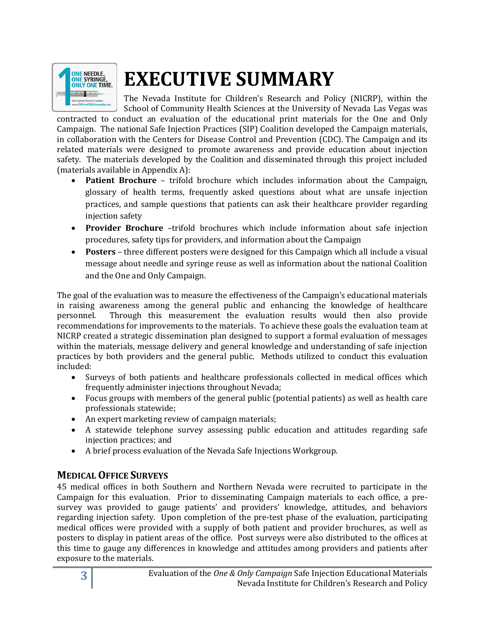

# **EXECUTIVE SUMMARY**

The Nevada Institute for Children's Research and Policy (NICRP), within the School of Community Health Sciences at the University of Nevada Las Vegas was

contracted to conduct an evaluation of the educational print materials for the One and Only Campaign. The national Safe Injection Practices (SIP) Coalition developed the Campaign materials, in collaboration with the Centers for Disease Control and Prevention (CDC). The Campaign and its related materials were designed to promote awareness and provide education about injection safety. The materials developed by the Coalition and disseminated through this project included (materials available in Appendix A):

- **Patient Brochure** trifold brochure which includes information about the Campaign, glossary of health terms, frequently asked questions about what are unsafe injection practices, and sample questions that patients can ask their healthcare provider regarding injection safety
- **Provider Brochure** –trifold brochures which include information about safe injection procedures, safety tips for providers, and information about the Campaign
- **Posters** three different posters were designed for this Campaign which all include a visual message about needle and syringe reuse as well as information about the national Coalition and the One and Only Campaign.

The goal of the evaluation was to measure the effectiveness of the Campaign's educational materials in raising awareness among the general public and enhancing the knowledge of healthcare personnel. Through this measurement the evaluation results would then also provide recommendations for improvements to the materials. To achieve these goals the evaluation team at NICRP created a strategic dissemination plan designed to support a formal evaluation of messages within the materials, message delivery and general knowledge and understanding of safe injection practices by both providers and the general public. Methods utilized to conduct this evaluation included:

- Surveys of both patients and healthcare professionals collected in medical offices which frequently administer injections throughout Nevada;
- Focus groups with members of the general public (potential patients) as well as health care professionals statewide;
- An expert marketing review of campaign materials;
- A statewide telephone survey assessing public education and attitudes regarding safe injection practices; and
- A brief process evaluation of the Nevada Safe Injections Workgroup.

#### **MEDICAL OFFICE SURVEYS**

45 medical offices in both Southern and Northern Nevada were recruited to participate in the Campaign for this evaluation. Prior to disseminating Campaign materials to each office, a presurvey was provided to gauge patients' and providers' knowledge, attitudes, and behaviors regarding injection safety. Upon completion of the pre-test phase of the evaluation, participating medical offices were provided with a supply of both patient and provider brochures, as well as posters to display in patient areas of the office. Post surveys were also distributed to the offices at this time to gauge any differences in knowledge and attitudes among providers and patients after exposure to the materials.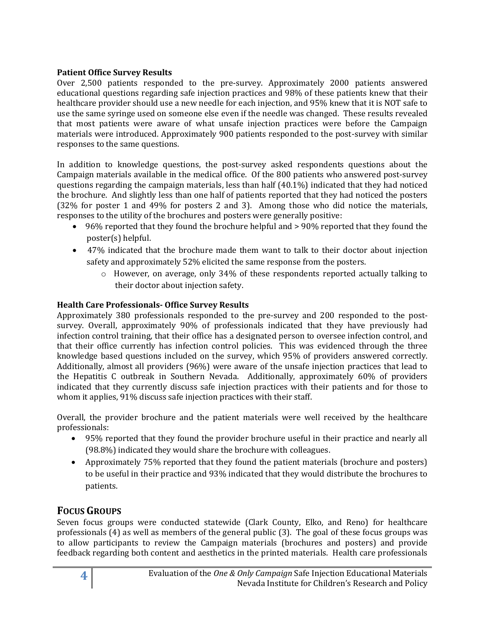#### **Patient Office Survey Results**

Over 2,500 patients responded to the pre-survey. Approximately 2000 patients answered educational questions regarding safe injection practices and 98% of these patients knew that their healthcare provider should use a new needle for each injection, and 95% knew that it is NOT safe to use the same syringe used on someone else even if the needle was changed. These results revealed that most patients were aware of what unsafe injection practices were before the Campaign materials were introduced. Approximately 900 patients responded to the post-survey with similar responses to the same questions.

In addition to knowledge questions, the post-survey asked respondents questions about the Campaign materials available in the medical office. Of the 800 patients who answered post-survey questions regarding the campaign materials, less than half (40.1%) indicated that they had noticed the brochure. And slightly less than one half of patients reported that they had noticed the posters (32% for poster 1 and 49% for posters 2 and 3). Among those who did notice the materials, responses to the utility of the brochures and posters were generally positive:

- 96% reported that they found the brochure helpful and > 90% reported that they found the poster(s) helpful.
- 47% indicated that the brochure made them want to talk to their doctor about injection safety and approximately 52% elicited the same response from the posters.
	- o However, on average, only 34% of these respondents reported actually talking to their doctor about injection safety.

#### **Health Care Professionals- Office Survey Results**

Approximately 380 professionals responded to the pre-survey and 200 responded to the postsurvey. Overall, approximately 90% of professionals indicated that they have previously had infection control training, that their office has a designated person to oversee infection control, and that their office currently has infection control policies. This was evidenced through the three knowledge based questions included on the survey, which 95% of providers answered correctly. Additionally, almost all providers (96%) were aware of the unsafe injection practices that lead to the Hepatitis C outbreak in Southern Nevada. Additionally, approximately 60% of providers indicated that they currently discuss safe injection practices with their patients and for those to whom it applies, 91% discuss safe injection practices with their staff.

Overall, the provider brochure and the patient materials were well received by the healthcare professionals:

- 95% reported that they found the provider brochure useful in their practice and nearly all (98.8%) indicated they would share the brochure with colleagues.
- Approximately 75% reported that they found the patient materials (brochure and posters) to be useful in their practice and 93% indicated that they would distribute the brochures to patients.

#### **FOCUS GROUPS**

Seven focus groups were conducted statewide (Clark County, Elko, and Reno) for healthcare professionals (4) as well as members of the general public (3). The goal of these focus groups was to allow participants to review the Campaign materials (brochures and posters) and provide feedback regarding both content and aesthetics in the printed materials. Health care professionals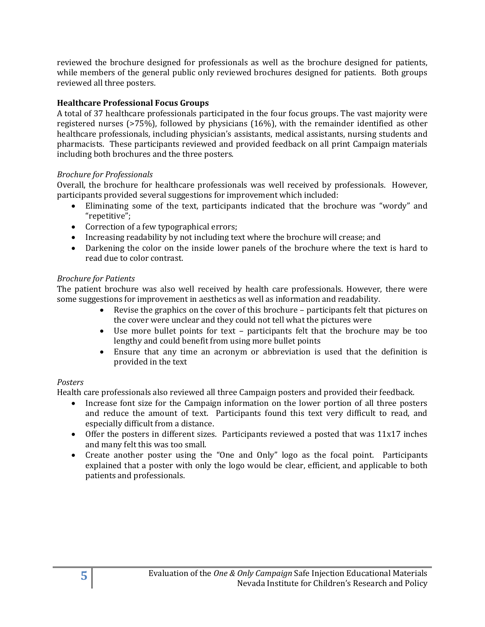reviewed the brochure designed for professionals as well as the brochure designed for patients, while members of the general public only reviewed brochures designed for patients. Both groups reviewed all three posters.

#### **Healthcare Professional Focus Groups**

A total of 37 healthcare professionals participated in the four focus groups. The vast majority were registered nurses (>75%), followed by physicians (16%), with the remainder identified as other healthcare professionals, including physician's assistants, medical assistants, nursing students and pharmacists. These participants reviewed and provided feedback on all print Campaign materials including both brochures and the three posters.

#### *Brochure for Professionals*

Overall, the brochure for healthcare professionals was well received by professionals. However, participants provided several suggestions for improvement which included:

- Eliminating some of the text, participants indicated that the brochure was "wordy" and "repetitive";
- Correction of a few typographical errors;
- Increasing readability by not including text where the brochure will crease; and
- Darkening the color on the inside lower panels of the brochure where the text is hard to read due to color contrast.

#### *Brochure for Patients*

The patient brochure was also well received by health care professionals. However, there were some suggestions for improvement in aesthetics as well as information and readability.

- Revise the graphics on the cover of this brochure participants felt that pictures on the cover were unclear and they could not tell what the pictures were
- Use more bullet points for text participants felt that the brochure may be too lengthy and could benefit from using more bullet points
- Ensure that any time an acronym or abbreviation is used that the definition is provided in the text

#### *Posters*

Health care professionals also reviewed all three Campaign posters and provided their feedback.

- Increase font size for the Campaign information on the lower portion of all three posters and reduce the amount of text. Participants found this text very difficult to read, and especially difficult from a distance.
- Offer the posters in different sizes. Participants reviewed a posted that was 11x17 inches and many felt this was too small.
- Create another poster using the "One and Only" logo as the focal point. Participants explained that a poster with only the logo would be clear, efficient, and applicable to both patients and professionals.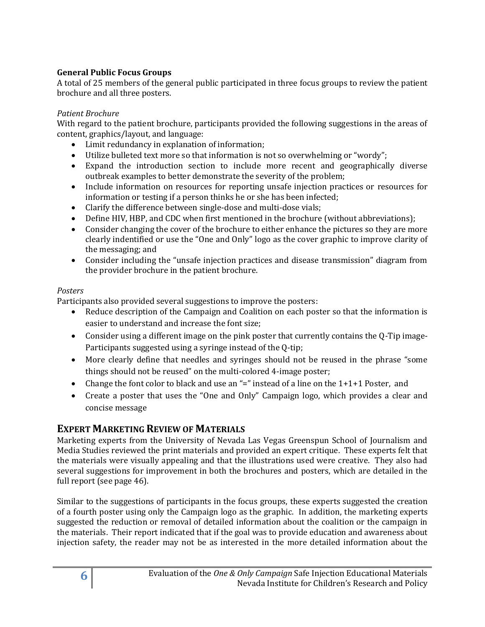#### **General Public Focus Groups**

A total of 25 members of the general public participated in three focus groups to review the patient brochure and all three posters.

#### *Patient Brochure*

With regard to the patient brochure, participants provided the following suggestions in the areas of content, graphics/layout, and language:

- Limit redundancy in explanation of information;
- Utilize bulleted text more so that information is not so overwhelming or "wordy";
- Expand the introduction section to include more recent and geographically diverse outbreak examples to better demonstrate the severity of the problem;
- Include information on resources for reporting unsafe injection practices or resources for information or testing if a person thinks he or she has been infected;
- Clarify the difference between single-dose and multi-dose vials;
- Define HIV, HBP, and CDC when first mentioned in the brochure (without abbreviations);
- Consider changing the cover of the brochure to either enhance the pictures so they are more clearly indentified or use the "One and Only" logo as the cover graphic to improve clarity of the messaging; and
- Consider including the "unsafe injection practices and disease transmission" diagram from the provider brochure in the patient brochure.

#### *Posters*

Participants also provided several suggestions to improve the posters:

- Reduce description of the Campaign and Coalition on each poster so that the information is easier to understand and increase the font size;
- Consider using a different image on the pink poster that currently contains the Q-Tip image-Participants suggested using a syringe instead of the Q-tip;
- More clearly define that needles and syringes should not be reused in the phrase "some things should not be reused" on the multi-colored 4-image poster;
- Change the font color to black and use an "=" instead of a line on the  $1+1+1$  Poster, and
- Create a poster that uses the "One and Only" Campaign logo, which provides a clear and concise message

#### **EXPERT MARKETING REVIEW OF MATERIALS**

Marketing experts from the University of Nevada Las Vegas Greenspun School of Journalism and Media Studies reviewed the print materials and provided an expert critique. These experts felt that the materials were visually appealing and that the illustrations used were creative. They also had several suggestions for improvement in both the brochures and posters, which are detailed in the full report (see page 46).

Similar to the suggestions of participants in the focus groups, these experts suggested the creation of a fourth poster using only the Campaign logo as the graphic. In addition, the marketing experts suggested the reduction or removal of detailed information about the coalition or the campaign in the materials. Their report indicated that if the goal was to provide education and awareness about injection safety, the reader may not be as interested in the more detailed information about the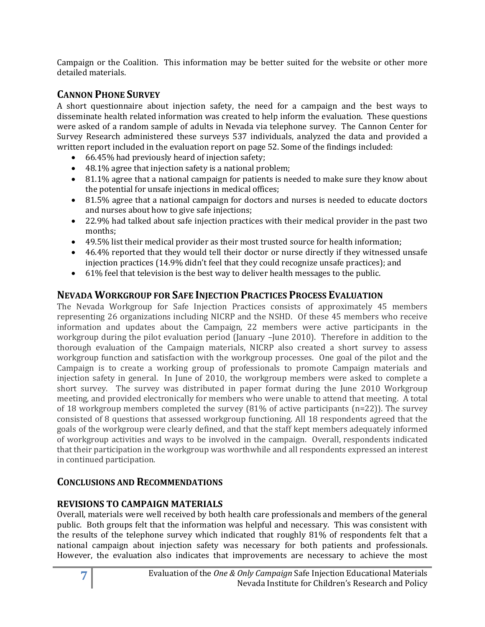Campaign or the Coalition. This information may be better suited for the website or other more detailed materials.

### **CANNON PHONE SURVEY**

A short questionnaire about injection safety, the need for a campaign and the best ways to disseminate health related information was created to help inform the evaluation. These questions were asked of a random sample of adults in Nevada via telephone survey. The Cannon Center for Survey Research administered these surveys 537 individuals, analyzed the data and provided a written report included in the evaluation report on page 52. Some of the findings included:

- 66.45% had previously heard of injection safety;
- 48.1% agree that injection safety is a national problem;
- 81.1% agree that a national campaign for patients is needed to make sure they know about the potential for unsafe injections in medical offices;
- 81.5% agree that a national campaign for doctors and nurses is needed to educate doctors and nurses about how to give safe injections;
- 22.9% had talked about safe injection practices with their medical provider in the past two months;
- 49.5% list their medical provider as their most trusted source for health information;
- 46.4% reported that they would tell their doctor or nurse directly if they witnessed unsafe injection practices (14.9% didn't feel that they could recognize unsafe practices); and
- $\bullet$  61% feel that television is the best way to deliver health messages to the public.

#### **NEVADA WORKGROUP FOR SAFE INJECTION PRACTICES PROCESS EVALUATION**

The Nevada Workgroup for Safe Injection Practices consists of approximately 45 members representing 26 organizations including NICRP and the NSHD. Of these 45 members who receive information and updates about the Campaign, 22 members were active participants in the workgroup during the pilot evaluation period (January –June 2010). Therefore in addition to the thorough evaluation of the Campaign materials, NICRP also created a short survey to assess workgroup function and satisfaction with the workgroup processes. One goal of the pilot and the Campaign is to create a working group of professionals to promote Campaign materials and injection safety in general. In June of 2010, the workgroup members were asked to complete a short survey. The survey was distributed in paper format during the June 2010 Workgroup meeting, and provided electronically for members who were unable to attend that meeting. A total of 18 workgroup members completed the survey  $(81\%$  of active participants  $(n=22)$ ). The survey consisted of 8 questions that assessed workgroup functioning. All 18 respondents agreed that the goals of the workgroup were clearly defined, and that the staff kept members adequately informed of workgroup activities and ways to be involved in the campaign. Overall, respondents indicated that their participation in the workgroup was worthwhile and all respondents expressed an interest in continued participation.

#### **CONCLUSIONS AND RECOMMENDATIONS**

#### **REVISIONS TO CAMPAIGN MATERIALS**

Overall, materials were well received by both health care professionals and members of the general public. Both groups felt that the information was helpful and necessary. This was consistent with the results of the telephone survey which indicated that roughly 81% of respondents felt that a national campaign about injection safety was necessary for both patients and professionals. However, the evaluation also indicates that improvements are necessary to achieve the most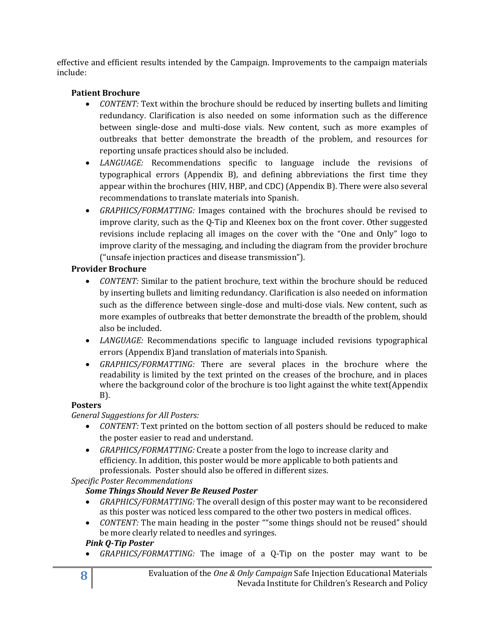effective and efficient results intended by the Campaign. Improvements to the campaign materials include:

#### **Patient Brochure**

- *CONTENT:* Text within the brochure should be reduced by inserting bullets and limiting redundancy. Clarification is also needed on some information such as the difference between single-dose and multi-dose vials. New content, such as more examples of outbreaks that better demonstrate the breadth of the problem, and resources for reporting unsafe practices should also be included.
- *LANGUAGE:* Recommendations specific to language include the revisions of typographical errors (Appendix B), and defining abbreviations the first time they appear within the brochures (HIV, HBP, and CDC) (Appendix B). There were also several recommendations to translate materials into Spanish.
- *GRAPHICS/FORMATTING:* Images contained with the brochures should be revised to improve clarity, such as the Q-Tip and Kleenex box on the front cover. Other suggested revisions include replacing all images on the cover with the "One and Only" logo to improve clarity of the messaging, and including the diagram from the provider brochure ("unsafe injection practices and disease transmission").

#### **Provider Brochure**

- *CONTENT:* Similar to the patient brochure, text within the brochure should be reduced by inserting bullets and limiting redundancy. Clarification is also needed on information such as the difference between single-dose and multi-dose vials. New content, such as more examples of outbreaks that better demonstrate the breadth of the problem, should also be included.
- *LANGUAGE:* Recommendations specific to language included revisions typographical errors (Appendix B)and translation of materials into Spanish.
- *GRAPHICS/FORMATTING:* There are several places in the brochure where the readability is limited by the text printed on the creases of the brochure, and in places where the background color of the brochure is too light against the white text(Appendix B).

#### **Posters**

#### *General Suggestions for All Posters:*

- *CONTENT:* Text printed on the bottom section of all posters should be reduced to make the poster easier to read and understand.
- *GRAPHICS/FORMATTING:* Create a poster from the logo to increase clarity and efficiency. In addition, this poster would be more applicable to both patients and professionals. Poster should also be offered in different sizes.

*Specific Poster Recommendations*

#### *Some Things Should Never Be Reused Poster*

- *GRAPHICS/FORMATTING:* The overall design of this poster may want to be reconsidered as this poster was noticed less compared to the other two posters in medical offices.
- *CONTENT:* The main heading in the poster ""some things should not be reused" should be more clearly related to needles and syringes.

#### *Pink Q-Tip Poster*

*GRAPHICS/FORMATTING:* The image of a Q-Tip on the poster may want to be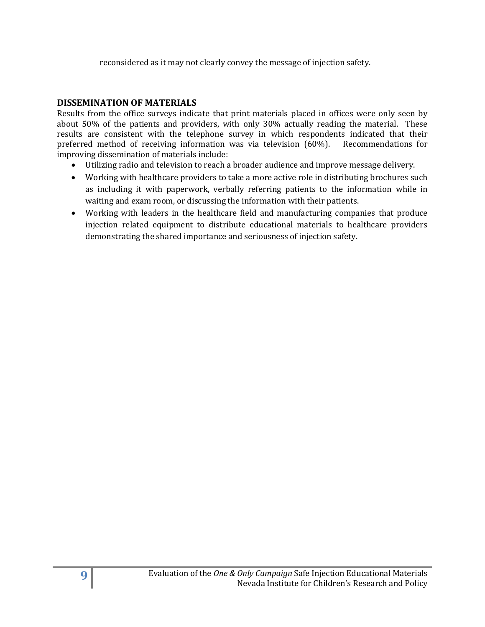reconsidered as it may not clearly convey the message of injection safety.

#### **DISSEMINATION OF MATERIALS**

Results from the office surveys indicate that print materials placed in offices were only seen by about 50% of the patients and providers, with only 30% actually reading the material. These results are consistent with the telephone survey in which respondents indicated that their preferred method of receiving information was via television (60%). Recommendations for improving dissemination of materials include:

- Utilizing radio and television to reach a broader audience and improve message delivery.
- Working with healthcare providers to take a more active role in distributing brochures such as including it with paperwork, verbally referring patients to the information while in waiting and exam room, or discussing the information with their patients.
- Working with leaders in the healthcare field and manufacturing companies that produce injection related equipment to distribute educational materials to healthcare providers demonstrating the shared importance and seriousness of injection safety.